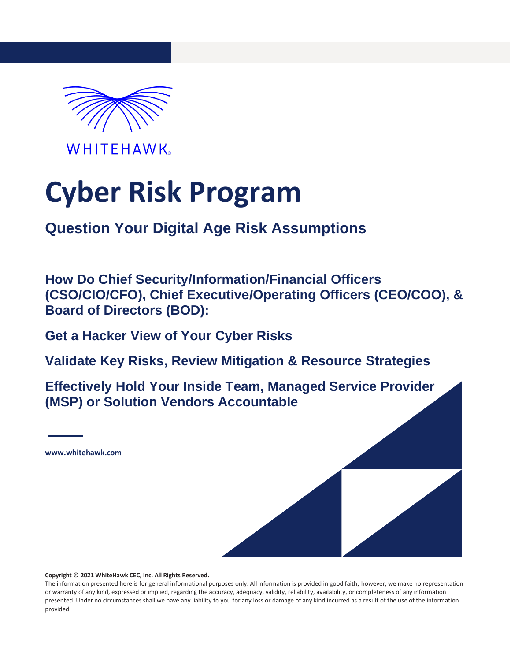

**WHITEHAWK** 

# **Cyber Risk Program**

### **Question Your Digital Age Risk Assumptions**

**How Do Chief Security/Information/Financial Officers (CSO/CIO/CFO), Chief Executive/Operating Officers (CEO/COO), & Board of Directors (BOD):**

**Get a Hacker View of Your Cyber Risks**

**Validate Key Risks, Review Mitigation & Resource Strategies**

**Effectively Hold Your Inside Team, Managed Service Provider (MSP) or Solution Vendors Accountable**

**[www.whitehawk.com](http://www.whitehawk.com/)**

**Copyright © 2021 WhiteHawk CEC, Inc. All Rights Reserved.**

The information presented here is for general informational purposes only. All information is provided in good faith; however, we make no representation or warranty of any kind, expressed or implied, regarding the accuracy, adequacy, validity, reliability, availability, or completeness of any information presented. Under no circumstances shall we have any liability to you for any loss or damage of any kind incurred as a result of the use of the information provided.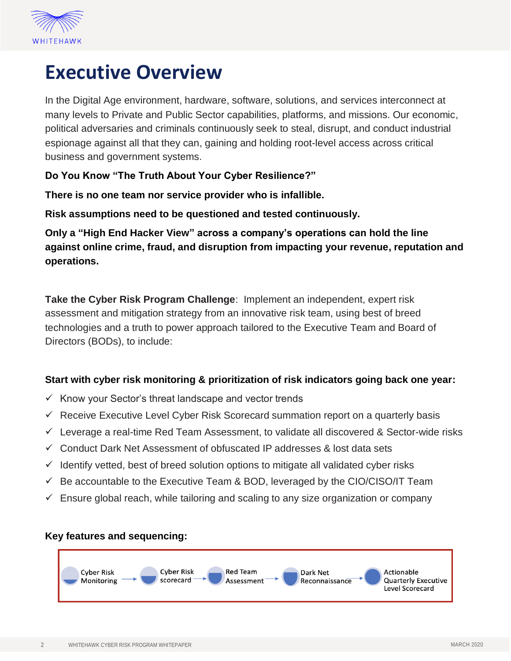

## **Executive Overview**

In the Digital Age environment, hardware, software, solutions, and services interconnect at many levels to Private and Public Sector capabilities, platforms, and missions. Our economic, political adversaries and criminals continuously seek to steal, disrupt, and conduct industrial espionage against all that they can, gaining and holding root-level access across critical business and government systems.

**Do You Know "The Truth About Your Cyber Resilience?"** 

**There is no one team nor service provider who is infallible.** 

**Risk assumptions need to be questioned and tested continuously.**

**Only a "High End Hacker View" across a company's operations can hold the line against online crime, fraud, and disruption from impacting your revenue, reputation and operations.** 

**Take the Cyber Risk Program Challenge**: Implement an independent, expert risk assessment and mitigation strategy from an innovative risk team, using best of breed technologies and a truth to power approach tailored to the Executive Team and Board of Directors (BODs), to include:

#### **Start with cyber risk monitoring & prioritization of risk indicators going back one year:**

- ✓ Know your Sector's threat landscape and vector trends
- $\checkmark$  Receive Executive Level Cyber Risk Scorecard summation report on a quarterly basis
- $\checkmark$  Leverage a real-time Red Team Assessment, to validate all discovered & Sector-wide risks
- ✓ Conduct Dark Net Assessment of obfuscated IP addresses & lost data sets
- $\checkmark$  Identify vetted, best of breed solution options to mitigate all validated cyber risks
- $\checkmark$  Be accountable to the Executive Team & BOD, leveraged by the CIO/CISO/IT Team
- $\checkmark$  Ensure global reach, while tailoring and scaling to any size organization or company

#### **Key features and sequencing:**

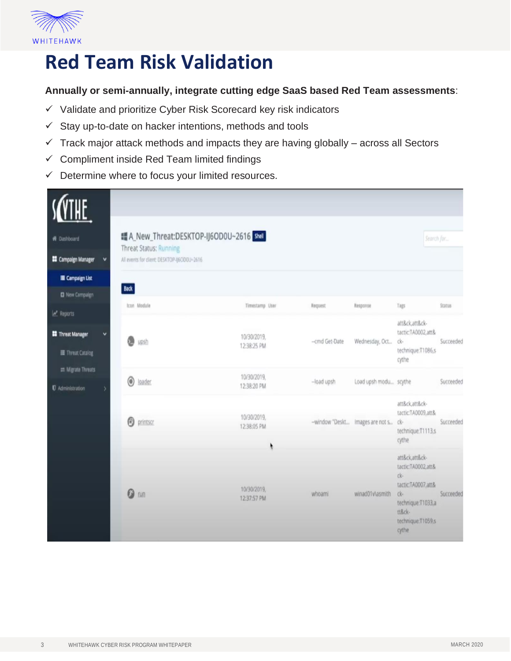

## **Red Team Risk Validation**

#### **Annually or semi-annually, integrate cutting edge SaaS based Red Team assessments**:

- ✓ Validate and prioritize Cyber Risk Scorecard key risk indicators
- ✓ Stay up-to-date on hacker intentions, methods and tools
- $\checkmark$  Track major attack methods and impacts they are having globally across all Sectors
- ✓ Compliment inside Red Team limited findings
- $\checkmark$  Determine where to focus your limited resources.

| <b>W</b> Dashboard                                                  | ■ A_New_Threat:DESKTOP-IJ6OD0U~2616 Shell                                   |                            |                 |                                 | Search for                                                                                                                            |               |  |
|---------------------------------------------------------------------|-----------------------------------------------------------------------------|----------------------------|-----------------|---------------------------------|---------------------------------------------------------------------------------------------------------------------------------------|---------------|--|
| $\checkmark$                                                        | <b>Threat Status: Running</b><br>All events for client: DESKTOP-86OD0U-2616 |                            |                 |                                 |                                                                                                                                       |               |  |
| <b>EE</b> Campaign Manager                                          |                                                                             |                            |                 |                                 |                                                                                                                                       |               |  |
| <b>E</b> Campaign List                                              | <b>Back</b>                                                                 |                            |                 |                                 |                                                                                                                                       |               |  |
| <b>D</b> New Campaign                                               | Icon Module                                                                 | Timestamp User             | Request         | Response                        | Tags                                                                                                                                  | <b>Status</b> |  |
| <b>Le</b> Reports<br><b>Threat Manager</b><br>v<br>I Threat Catalog | ത<br>upsh                                                                   | 10/30/2019,<br>12:38:25 PM | -- cmd Get-Date | Wednesday, Oct                  | att&ck,att&ck-<br>tactic:TA0002.att&<br>ck-<br>technique:T1086,s<br>cythe                                                             | Succeeded     |  |
| = Migrate Threats<br><b><i>U</i></b> Administration                 | 0<br>loader.                                                                | 10/30/2019,<br>12:38:20 PM | -load upsh      | Load upsh modu scythe           |                                                                                                                                       | Succeeded     |  |
|                                                                     | Θ<br>printscr                                                               | 10/30/2019.<br>12:38:05 PM |                 | -window "Deskt Images are not s | att&ck,att&ck-<br>tactic:TA0009,att&<br>ck-<br>technique:T1113,s<br>cythe                                                             | Succeeded     |  |
|                                                                     | ര<br>run                                                                    | 10/30/2019,<br>12:37:57 PM | whoami          | winad01v\asmith                 | att&ck,att&ck-<br>tactic:TA0002,att&<br>ck-<br>tactic:TA0007,att&<br>ck-<br>technique:T1033,a<br>tt&ck-<br>technique:T1059,s<br>cythe | Succeeded     |  |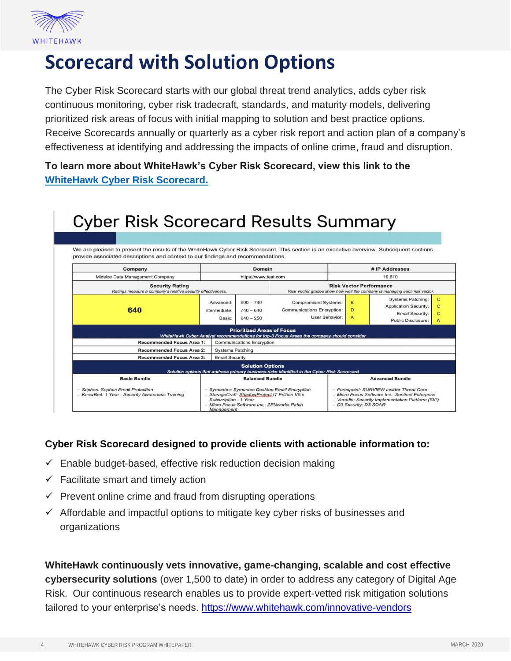

## **Scorecard with Solution Options**

The Cyber Risk Scorecard starts with our global threat trend analytics, adds cyber risk continuous monitoring, cyber risk tradecraft, standards, and maturity models, delivering prioritized risk areas of focus with initial mapping to solution and best practice options. Receive Scorecards annually or quarterly as a cyber risk report and action plan of a company's effectiveness at identifying and addressing the impacts of online crime, fraud and disruption.

**To learn more about WhiteHawk's Cyber Risk Scorecard, view this link to the [WhiteHawk Cyber Risk Scorecard.](http://docs.whitehawk.com/cyber_risk_scorecard_indepth_117a9be787.pdf)**

| <b>Cyber Risk Scorecard Results Summary</b>                                                                                                                                                                                 |                                      |                                             |                                                                                                              |                                                                                                                                                                              |             |                                                                                                                 |                                       |  |
|-----------------------------------------------------------------------------------------------------------------------------------------------------------------------------------------------------------------------------|--------------------------------------|---------------------------------------------|--------------------------------------------------------------------------------------------------------------|------------------------------------------------------------------------------------------------------------------------------------------------------------------------------|-------------|-----------------------------------------------------------------------------------------------------------------|---------------------------------------|--|
|                                                                                                                                                                                                                             |                                      |                                             |                                                                                                              |                                                                                                                                                                              |             |                                                                                                                 |                                       |  |
| We are pleased to present the results of the WhiteHawk Cyber Risk Scorecard. This section is an executive overview. Subsequent sections<br>provide associated descriptions and context to our findings and recommendations. |                                      |                                             |                                                                                                              |                                                                                                                                                                              |             |                                                                                                                 |                                       |  |
| Company                                                                                                                                                                                                                     | Domain                               |                                             | # IP Addresses                                                                                               |                                                                                                                                                                              |             |                                                                                                                 |                                       |  |
| Midsize Data Management Company                                                                                                                                                                                             | https://www.test.com                 |                                             |                                                                                                              | 19,610                                                                                                                                                                       |             |                                                                                                                 |                                       |  |
| <b>Security Rating</b><br>Ratings measure a company's relative security effectiveness.                                                                                                                                      |                                      |                                             | <b>Risk Vector Performance</b><br>Risk Vector grades show how well the company is managing each risk vector. |                                                                                                                                                                              |             |                                                                                                                 |                                       |  |
| 640                                                                                                                                                                                                                         | Advanced:<br>Intermediate:<br>Basic: | $900 - 740$<br>$740 - 640$<br>$640 - 250$   | <b>Compromised Systems:</b><br>Communications Encryption:<br>User Behavior:                                  |                                                                                                                                                                              | B<br>D<br>A | <b>Systems Patching:</b><br><b>Application Security:</b><br><b>Email Security:</b><br><b>Public Disclosure:</b> | C<br>C<br>$\mathbf C$<br>$\mathbf{A}$ |  |
|                                                                                                                                                                                                                             |                                      | <b>Prioritized Areas of Focus</b>           | WhiteHawk Cyber Analyst recommendations for top-3 Focus Areas the company should consider                    |                                                                                                                                                                              |             |                                                                                                                 |                                       |  |
| <b>Recommended Focus Area 1:</b>                                                                                                                                                                                            | <b>Communications Encryption</b>     |                                             |                                                                                                              |                                                                                                                                                                              |             |                                                                                                                 |                                       |  |
| <b>Recommended Focus Area 2:</b>                                                                                                                                                                                            | <b>Systems Patching</b>              |                                             |                                                                                                              |                                                                                                                                                                              |             |                                                                                                                 |                                       |  |
| <b>Recommended Focus Area 3:</b>                                                                                                                                                                                            | <b>Email Security</b>                |                                             |                                                                                                              |                                                                                                                                                                              |             |                                                                                                                 |                                       |  |
|                                                                                                                                                                                                                             |                                      | <b>Solution Options</b>                     | Solution options that address primary business risks identified in the Cyber Risk Scorecard                  |                                                                                                                                                                              |             |                                                                                                                 |                                       |  |
| <b>Basic Bundle</b>                                                                                                                                                                                                         | <b>Balanced Bundle</b>               |                                             | <b>Advanced Bundle</b>                                                                                       |                                                                                                                                                                              |             |                                                                                                                 |                                       |  |
| - Sophos: Sophos Email Protection<br>- KnowBe4: 1 Year - Security Awareness Training                                                                                                                                        | Subscription - 1 Year<br>Management  | - Micro Focus Software Inc.: ZENworks Patch | - Symantec: Symantec Desktop Email Encryption<br>- StorageCraft: ShadowProtect IT Edition V5.x               | - Forcepoint: SURVIEW Insider Threat Core<br>- Micro Focus Software Inc.: Sentinel Enterprise<br>- Verodin: Security Implementation Platform (SIP)<br>- D3 Security: D3 SOAR |             |                                                                                                                 |                                       |  |

#### **Cyber Risk Scorecard designed to provide clients with actionable information to:**

- $\checkmark$  Enable budget-based, effective risk reduction decision making
- $\checkmark$  Facilitate smart and timely action
- $\checkmark$  Prevent online crime and fraud from disrupting operations
- $\checkmark$  Affordable and impactful options to mitigate key cyber risks of businesses and organizations

**WhiteHawk continuously vets innovative, game-changing, scalable and cost effective cybersecurity solutions** (over 1,500 to date) in order to address any category of Digital Age Risk. Our continuous research enables us to provide expert-vetted risk mitigation solutions tailored to your enterprise's needs.<https://www.whitehawk.com/innovative-vendors>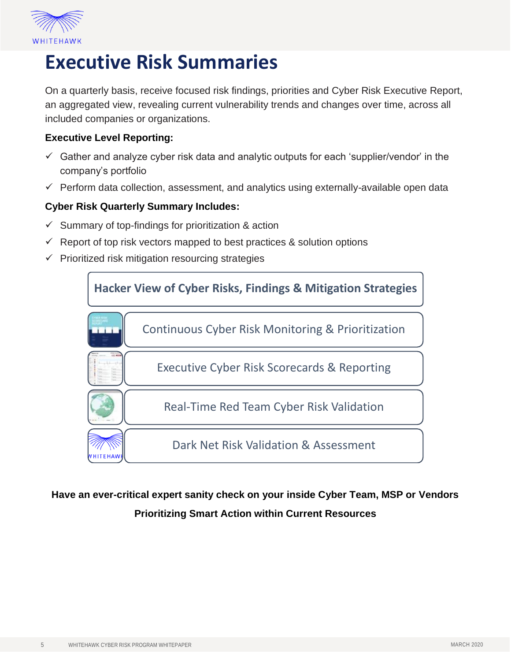

## **Executive Risk Summaries**

On a quarterly basis, receive focused risk findings, priorities and Cyber Risk Executive Report, an aggregated view, revealing current vulnerability trends and changes over time, across all included companies or organizations.

#### **Executive Level Reporting:**

- $\checkmark$  Gather and analyze cyber risk data and analytic outputs for each 'supplier/vendor' in the company's portfolio
- $\checkmark$  Perform data collection, assessment, and analytics using externally-available open data

#### **Cyber Risk Quarterly Summary Includes:**

- $\checkmark$  Summary of top-findings for prioritization & action
- $\checkmark$  Report of top risk vectors mapped to best practices & solution options
- $\checkmark$  Prioritized risk mitigation resourcing strategies



#### **Have an ever-critical expert sanity check on your inside Cyber Team, MSP or Vendors Prioritizing Smart Action within Current Resources**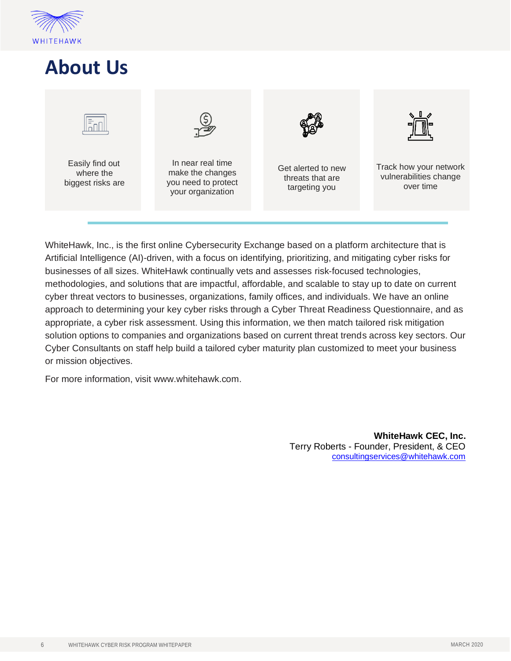

## **About Us**



WhiteHawk, Inc., is the first online Cybersecurity Exchange based on a platform architecture that is Artificial Intelligence (AI)-driven, with a focus on identifying, prioritizing, and mitigating cyber risks for businesses of all sizes. WhiteHawk continually vets and assesses risk-focused technologies, methodologies, and solutions that are impactful, affordable, and scalable to stay up to date on current cyber threat vectors to businesses, organizations, family offices, and individuals. We have an online approach to determining your key cyber risks through a Cyber Threat Readiness Questionnaire, and as appropriate, a cyber risk assessment. Using this information, we then match tailored risk mitigation solution options to companies and organizations based on current threat trends across key sectors. Our Cyber Consultants on staff help build a tailored cyber maturity plan customized to meet your business or mission objectives.

For more information, visit [www.whitehawk.com.](http://www.whitehawk.com/)

**WhiteHawk CEC, Inc.** Terry Roberts - Founder, President, & CEO [consultingservices@whitehawk.com](mailto:consultingservices@whitehawk.com)